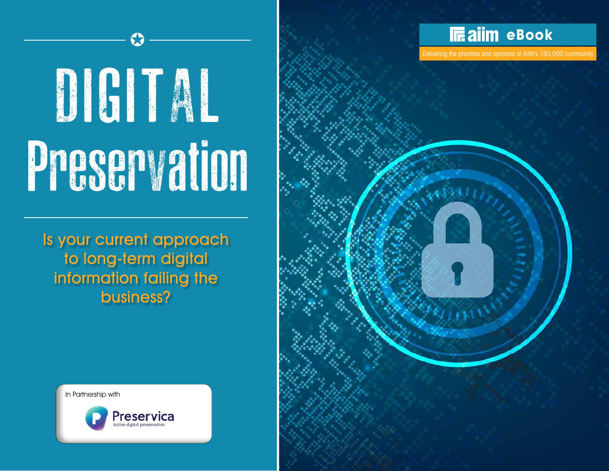

Delivering the priorities and opinions of AIIM's 193,000 community

# DIGITAL Preservation

 $\bf G$ 

Is your current approach to long-term digital information failing the business?



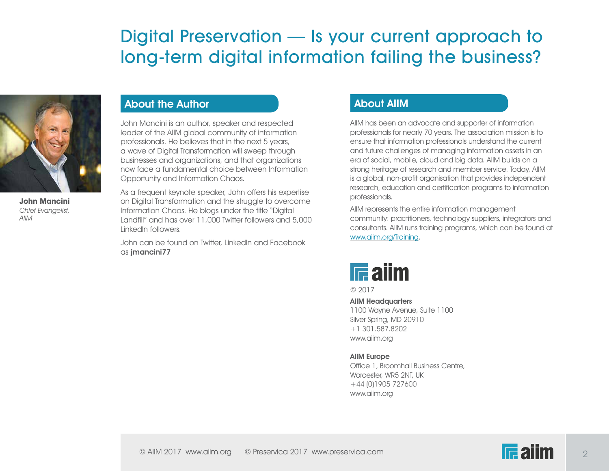

**John Mancini** Chief Evangelist, AIIM

#### About the Author

John Mancini is an author, speaker and respected leader of the AIIM global community of information professionals. He believes that in the next 5 years, a wave of Digital Transformation will sweep through businesses and organizations, and that organizations now face a fundamental choice between Information Opportunity and Information Chaos.

As a frequent keynote speaker, John offers his expertise on Digital Transformation and the struggle to overcome Information Chaos. He blogs under the title "Digital Landfill" and has over 11,000 Twitter followers and 5,000 LinkedIn followers.

John can be found on Twitter, LinkedIn and Facebook as jmancini77

#### About AIIM

AIIM has been an advocate and supporter of information professionals for nearly 70 years. The association mission is to ensure that information professionals understand the current and future challenges of managing information assets in an era of social, mobile, cloud and big data. AIIM builds on a strong heritage of research and member service. Today, AIIM is a global, non-profit organisation that provides independent research, education and certification programs to information professionals.

AIIM represents the entire information management community: practitioners, technology suppliers, integrators and consultants. AIIM runs training programs, which can be found at [www.aiim.org/Training](http://www.aiim.org/Training).



© 2017

AIIM Headquarters 1100 Wayne Avenue, Suite 1100 Silver Spring, MD 20910 +1 301.587.8202 www.aiim.org

#### AIIM Europe

Office 1, Broomhall Business Centre, Worcester, WR5 2NT, UK +44 (0)1905 727600 www.aiim.org

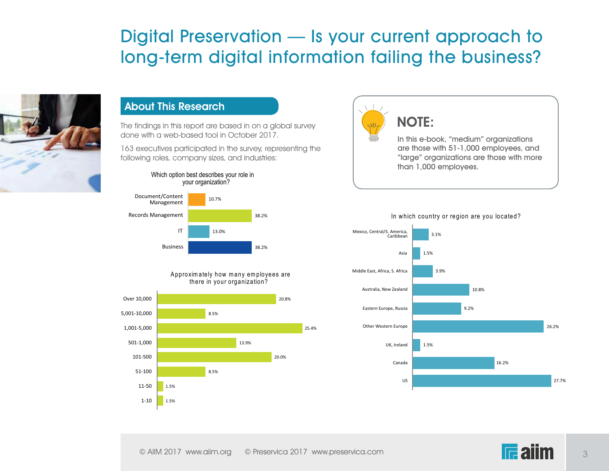

#### About This Research

The findings in this report are based in on a global survey done with a web-based tool in October 2017.

163 executives participated in the survey, representing the following roles, company sizes, and industries:





A pproximately how many employees are there in your organization?





#### NOTE: 1.5%

101-500

In this e-book, "medium" organizations are those with 51-1,000 employees, and "large" organizations are those with more than 1,000 employees.



#### In which country or region are you located?

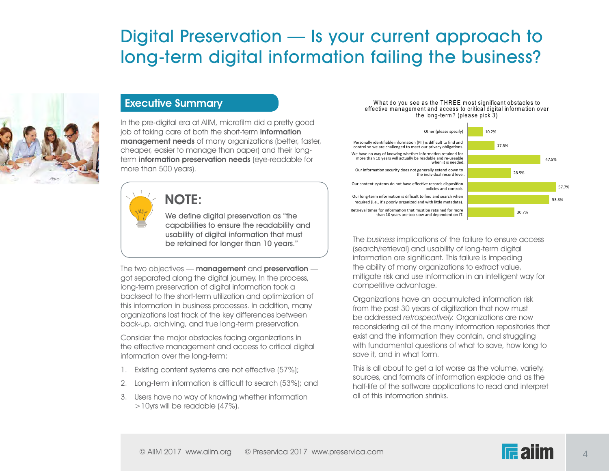

#### Executive Summary

In the pre-digital era at AIIM, microfilm did a pretty good job of taking care of both the short-term information management needs of many organizations (better, faster, cheaper, easier to manage than paper) and their longterm information preservation needs (eye-readable for more than 500 years).



#### NOTE:

We define digital preservation as "the capabilities to ensure the readability and usability of digital information that must be retained for longer than 10 years."

The two objectives  $-$  management and preservation  $$ got separated along the digital journey. In the process, long-term preservation of digital information took a backseat to the short-term utilization and optimization of this information in business processes. In addition, many organizations lost track of the key differences between back-up, archiving, and true long-term preservation.

Consider the major obstacles facing organizations in the effective management and access to critical digital information over the long-term:

- 1. Existing content systems are not effective (57%);
- 2. Long-term information is difficult to search (53%); and
- 3. Users have no way of knowing whether information >10yrs will be readable (47%).

#### What do you see as the THREE most significant obstacles to effective management and access to critical digital information over the long-term ? (please pick 3)



The business implications of the failure to ensure access (search/retrieval) and usability of long-term digital information are significant. This failure is impeding the ability of many organizations to extract value, mitigate risk and use information in an intelligent way for competitive advantage.

Organizations have an accumulated information risk from the past 30 years of digitization that now must be addressed retrospectively. Organizations are now reconsidering all of the many information repositories that exist and the information they contain, and struggling with fundamental questions of what to save, how long to save it, and in what form.

This is all about to get a lot worse as the volume, variety, sources, and formats of information explode and as the half-life of the software applications to read and interpret all of this information shrinks.

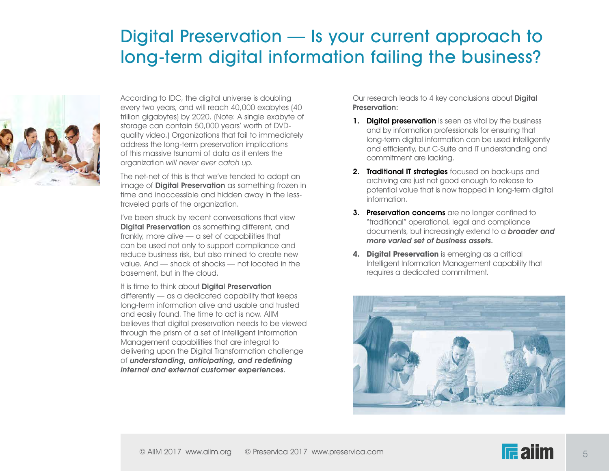

According to IDC, the digital universe is doubling every two years, and will reach 40,000 exabytes (40 trillion gigabytes) by 2020. (Note: A single exabyte of storage can contain 50,000 years' worth of DVDquality video.) Organizations that fail to immediately address the long-term preservation implications of this massive tsunami of data as it enters the organization will never ever catch up.

The net-net of this is that we've tended to adopt an image of **Digital Preservation** as something frozen in time and inaccessible and hidden away in the lesstraveled parts of the organization.

I've been struck by recent conversations that view Digital Preservation as something different, and frankly, more alive — a set of capabilities that can be used not only to support compliance and reduce business risk, but also mined to create new value. And — shock of shocks — not located in the basement, but in the cloud.

It is time to think about **Digital Preservation** differently — as a dedicated capability that keeps long-term information alive and usable and trusted and easily found. The time to act is now. AIIM believes that digital preservation needs to be viewed through the prism of a set of Intelligent Information Management capabilities that are integral to delivering upon the Digital Transformation challenge of understanding, anticipating, and redefining internal and external customer experiences.

Our research leads to 4 key conclusions about Digital Preservation:

- 1. Digital preservation is seen as vital by the business and by information professionals for ensuring that long-term digital information can be used intelligently and efficiently, but C-Suite and IT understanding and commitment are lacking.
- 2. Traditional IT strategies focused on back-ups and archiving are just not good enough to release to potential value that is now trapped in long-term digital information.
- 3. Preservation concerns are no longer confined to "traditional" operational, legal and compliance documents, but increasingly extend to a **broader and** more varied set of business assets.
- **4. Digital Preservation** is emerging as a critical Intelligent Information Management capability that requires a dedicated commitment.

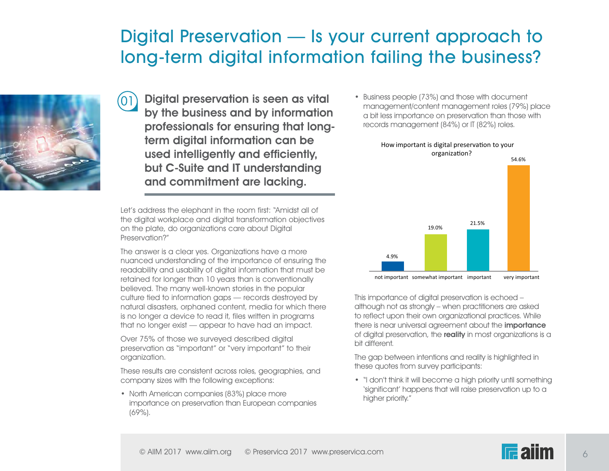

Digital preservation is seen as vital (01) by the business and by information professionals for ensuring that longterm digital information can be used intelligently and efficiently, but C-Suite and IT understanding and commitment are lacking.

Let's address the elephant in the room first: "Amidst all of the digital workplace and digital transformation objectives on the plate, do organizations care about Digital Preservation?"

The answer is a clear yes. Organizations have a more nuanced understanding of the importance of ensuring the readability and usability of digital information that must be retained for longer than 10 years than is conventionally believed. The many well-known stories in the popular culture tied to information gaps — records destroyed by natural disasters, orphaned content, media for which there is no longer a device to read it, files written in programs that no longer exist — appear to have had an impact.

Over 75% of those we surveyed described digital preservation as "important" or "very important" to their organization.

These results are consistent across roles, geographies, and company sizes with the following exceptions:

• North American companies (83%) place more importance on preservation than European companies (69%).

• Business people (73%) and those with document management/content management roles (79%) place a bit less importance on preservation than those with records management (84%) or IT (82%) roles.



This importance of digital preservation is echoed – although not as strongly – when practitioners are asked to reflect upon their own organizational practices. While there is near universal agreement about the **importance** of digital preservation, the reality in most organizations is a bit different.

The gap between intentions and reality is highlighted in these quotes from survey participants:

• "I don't think it will become a high priority until something 'significant' happens that will raise preservation up to a higher priority."

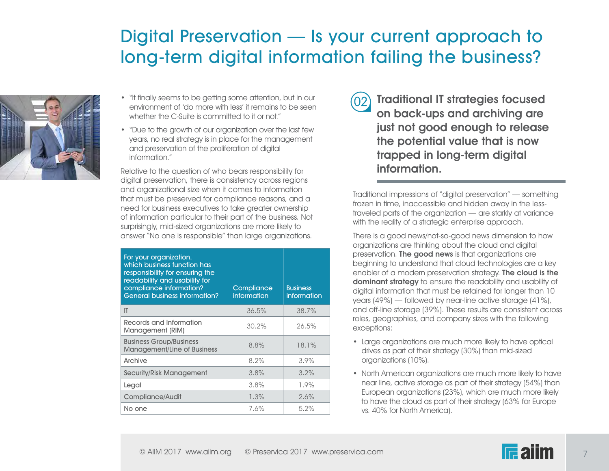

- "It finally seems to be getting some attention, but in our environment of 'do more with less' it remains to be seen whether the C-Suite is committed to it or not."
- "Due to the growth of our organization over the last few years, no real strategy is in place for the management and preservation of the proliferation of digital information."

Relative to the question of who bears responsibility for digital preservation, there is consistency across regions and organizational size when it comes to information that must be preserved for compliance reasons, and a need for business executives to take greater ownership of information particular to their part of the business. Not surprisingly, mid-sized organizations are more likely to answer "No one is responsible" than large organizations.

| For your organization,<br>which business function has<br>responsibility for ensuring the<br>readability and usability for<br>compliance information?<br><b>General business information?</b> | Compliance<br>information | <b>Business</b><br>information |
|----------------------------------------------------------------------------------------------------------------------------------------------------------------------------------------------|---------------------------|--------------------------------|
| IT                                                                                                                                                                                           | 36.5%                     | 38.7%                          |
| Records and Information<br>Management (RIM)                                                                                                                                                  | 30.2%                     | 26.5%                          |
| <b>Business Group/Business</b><br><b>Management/Line of Business</b>                                                                                                                         | 8.8%                      | 18.1%                          |
| Archive                                                                                                                                                                                      | 8.2%                      | 3.9%                           |
| Security/Risk Management                                                                                                                                                                     | 3.8%                      | 3.2%                           |
| Legal                                                                                                                                                                                        | 3.8%                      | 1.9%                           |
| Compliance/Audit                                                                                                                                                                             | 1.3%                      | 2.6%                           |
| No one                                                                                                                                                                                       | 7.6%                      | 5.2%                           |

 $(02)$  Traditional IT strategies focused on back-ups and archiving are just not good enough to release the potential value that is now trapped in long-term digital information.

Traditional impressions of "digital preservation" — something frozen in time, inaccessible and hidden away in the lesstraveled parts of the organization — are starkly at variance with the reality of a strategic enterprise approach.

There is a good news/not-so-good news dimension to how organizations are thinking about the cloud and digital preservation. The good news is that organizations are beginning to understand that cloud technologies are a key enabler of a modern preservation strategy. The cloud is the dominant strategy to ensure the readability and usability of digital information that must be retained for longer than 10 years (49%) — followed by near-line active storage (41%), and off-line storage (39%). These results are consistent across roles, geographies, and company sizes with the following exceptions:

- Large organizations are much more likely to have optical drives as part of their strategy (30%) than mid-sized organizations (10%).
- North American organizations are much more likely to have near line, active storage as part of their strategy (54%) than European organizations (23%), which are much more likely to have the cloud as part of their strategy (63% for Europe vs. 40% for North America).



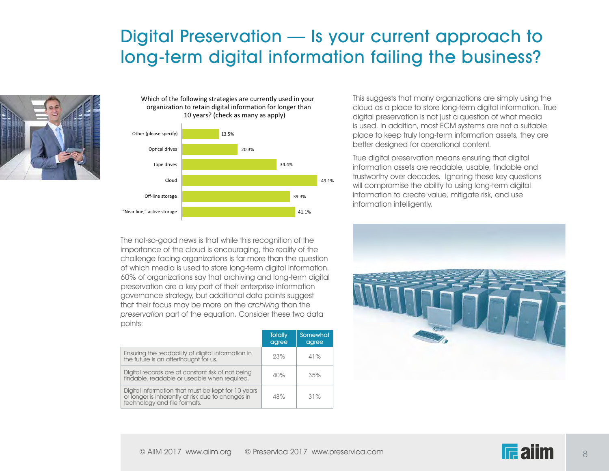

#### Which of the following strategies are currently used in your organization to retain digital information for longer than 10 years? (check as many as apply)



The not-so-good news is that while this recognition of the importance of the cloud is encouraging, the reality of the challenge facing organizations is far more than the question of which media is used to store long-term digital information. 60% of organizations say that archiving and long-term digital preservation are a key part of their enterprise information governance strategy, but additional data points suggest that their focus may be more on the archiving than the preservation part of the equation. Consider these two data points:

|                                                                                                                                         | <b>Totally</b><br>agree | Somewhat<br>agree |
|-----------------------------------------------------------------------------------------------------------------------------------------|-------------------------|-------------------|
| Ensuring the readability of digital information in<br>the future is an afterthought for us.                                             | 23%                     | 41%               |
| Digital records are at constant risk of not being<br>findable, readable or useable when required.                                       | 40%                     | 35%               |
| Digital information that must be kept for 10 years<br>or longer is inherently at risk due to changes in<br>technology and file formats. | 48%                     | 31%               |

This suggests that many organizations are simply using the cloud as a place to store long-term digital information. True digital preservation is not just a question of what media is used. In addition, most ECM systems are not a suitable place to keep truly long-term information assets, they are better designed for operational content.

True digital preservation means ensuring that digital information assets are readable, usable, findable and trustworthy over decades. Ignoring these key questions will compromise the ability to using long-term digital information to create value, mitigate risk, and use information intelligently.



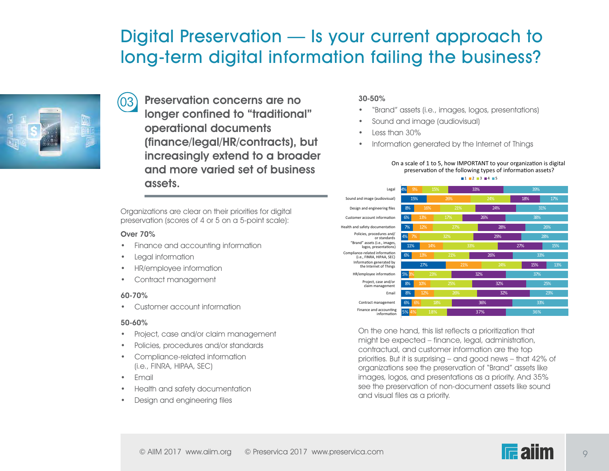

Preservation concerns are no longer confined to "traditional" operational documents (finance/legal/HR/contracts), but increasingly extend to a broader and more varied set of business assets.

Organizations are clear on their priorities for digital preservation (scores of 4 or 5 on a 5-point scale):

#### Over 70%

(03)

- Finance and accounting information
- Legal information
- HR/employee information
- Contract management

#### 60-70%

• Customer account information

#### 50-60%

- Project, case and/or claim management
- Policies, procedures and/or standards
- Compliance-related information (i.e., FINRA, HIPAA, SEC)
- Email
- Health and safety documentation
- Design and engineering files

#### 30-50%

- "Brand" assets (i.e., images, logos, presentations)
- Sound and image (audiovisual)
- Less than 30%
- Information generated by the Internet of Things

Finance and accounting  $\begin{array}{|l|l|}\n5\% & 4\% & 18\% & 37\% & \text{36}\% \n\end{array}$ Contract management Email 8% 12% 26% 32% 23% Project, case and/or and the second second to the second second to the second second to the second second second second second second second second second second second second second second second second second second seco claim management HR/employee information 5% 3% 23% 32% 32% 37% 37% Information generated by 27% 21% 21% 24% 15% Compliance-related information<br>
(i.e., FINRA, HIPAA, SEC) 6% 13% 21% 26% 26% 26% 33% "Brand" assets (i.e., images,<br>logos, presentations) 4% 7% 32% 29% 28% Policies, procedures and/ or standards Health and safety documentation Customer account information Design and engineering files 8% 16% 21% 24% 31% Sound and image (audiovisual) 15% 26% 24% 18% 18% 17% Legal 4% 9% 15% 33% 39% preservation of the following types of information assets?  $1 1 2 3 3 4 4 5$ 

On a scale of 1 to 5, how IMPORTANT to your organization is digital

On the one hand, this list reflects a prioritization that might be expected – finance, legal, administration, contractual, and customer information are the top priorities. But it is surprising – and good news – that 42% of organizations see the preservation of "Brand" assets like images, logos, and presentations as a priority. And 35% see the preservation of non-document assets like sound and visual files as a priority.

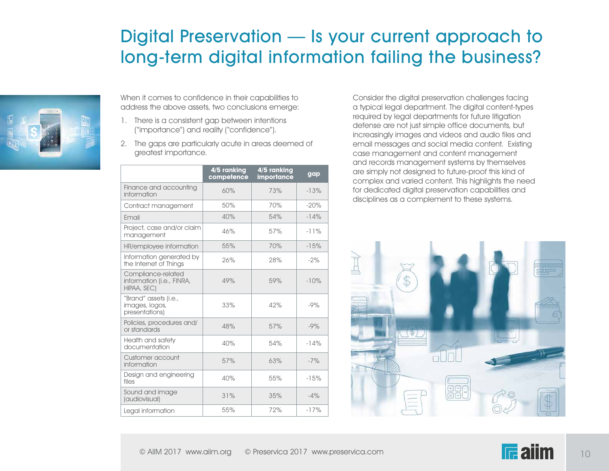

When it comes to confidence in their capabilities to address the above assets, two conclusions emerge:

- 1. There is a consistent gap between intentions ("importance") and reality ("confidence").
- 2. The gaps are particularly acute in areas deemed of greatest importance.

|                                                                | 4/5 ranking<br>competence | 4/5 ranking<br>importance | gap    |
|----------------------------------------------------------------|---------------------------|---------------------------|--------|
| Finance and accounting<br>information                          | 60%                       | 73%                       | $-13%$ |
| Contract management                                            | 50%                       | 70%                       | $-20%$ |
| Fmail                                                          | 40%                       | 54%                       | $-14%$ |
| Project, case and/or claim<br>management                       | 46%                       | 57%                       | $-11%$ |
| HR/employee information                                        | 55%                       | 70%                       | $-15%$ |
| Information generated by<br>the Internet of Things             | 26%                       | 28%                       | $-2%$  |
| Compliance-related<br>information (i.e., FINRA,<br>HIPAA, SEC) | 49%                       | 59%                       | $-10%$ |
| "Brand" assets (i.e.,<br>images, logos,<br>presentations)      | 33%                       | 42%                       | $-9%$  |
| Policies, procedures and/<br>or standards                      | 48%                       | 57%                       | $-9%$  |
| Health and safety<br>documentation                             | 40%                       | 54%                       | $-14%$ |
| Customer account<br>information                                | 57%                       | 63%                       | $-7%$  |
| Design and engineering<br>files                                | 40%                       | 55%                       | $-15%$ |
| Sound and image<br>(audiovisual)                               | 31%                       | 35%                       | $-4%$  |
| Legal information                                              | 55%                       | 72%                       | $-17%$ |

Consider the digital preservation challenges facing a typical legal department. The digital content-types required by legal departments for future litigation defense are not just simple office documents, but increasingly images and videos and audio files and email messages and social media content. Existing case management and content management and records management systems by themselves are simply not designed to future-proof this kind of complex and varied content. This highlights the need for dedicated digital preservation capabilities and disciplines as a complement to these systems.



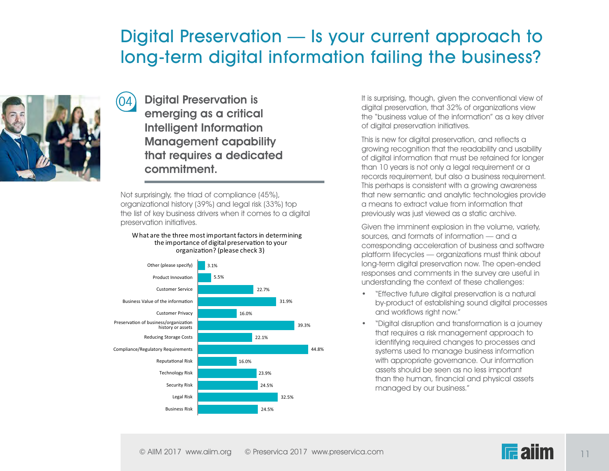

 $(04)$ 

Digital Preservation is emerging as a critical Intelligent Information Management capability that requires a dedicated commitment.

Not surprisingly, the triad of compliance (45%), organizational history (39%) and legal risk (33%) top the list of key business drivers when it comes to a digital preservation initiatives.

#### What are the three most important factors in determining the importance of digital preservation to your organization? (please check 3)



It is surprising, though, given the conventional view of digital preservation, that 32% of organizations view the "business value of the information" as a key driver of digital preservation initiatives.

This is new for digital preservation, and reflects a growing recognition that the readability and usability of digital information that must be retained for longer than 10 years is not only a legal requirement or a records requirement, but also a business requirement. This perhaps is consistent with a growing awareness that new semantic and analytic technologies provide a means to extract value from information that previously was just viewed as a static archive.

Given the imminent explosion in the volume, variety, sources, and formats of information — and a corresponding acceleration of business and software platform lifecycles — organizations must think about long-term digital preservation now. The open-ended responses and comments in the survey are useful in understanding the context of these challenges:

- "Effective future digital preservation is a natural by-product of establishing sound digital processes and workflows right now."
- "Digital disruption and transformation is a journey that requires a risk management approach to identifying required changes to processes and systems used to manage business information with appropriate governance. Our information assets should be seen as no less important than the human, financial and physical assets managed by our business."

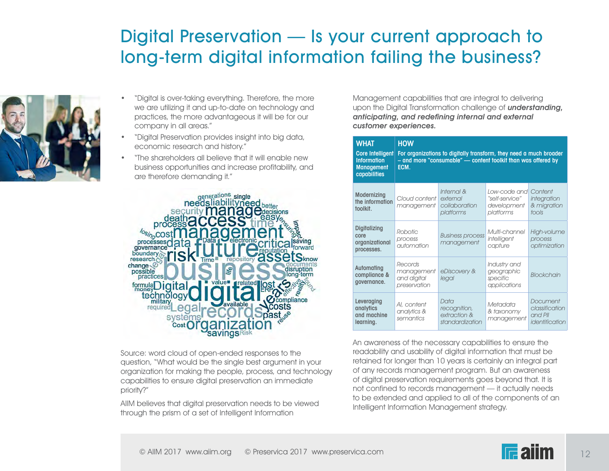

- "Digital is over-taking everything. Therefore, the more we are utilizing it and up-to-date on technology and practices, the more advantageous it will be for our company in all areas."
- "Digital Preservation provides insight into big data, economic research and history."
- "The shareholders all believe that it will enable new business opportunities and increase profitability, and are therefore demanding it."



Source: word cloud of open-ended responses to the question, "What would be the single best argument in your organization for making the people, process, and technology capabilities to ensure digital preservation an immediate priority?"

AIIM believes that digital preservation needs to be viewed through the prism of a set of Intelligent Information

Management capabilities that are integral to delivering upon the Digital Transformation challenge of *understanding*, anticipating, and redefining internal and external customer experiences.

| <b>WHAT</b><br><b>Core Intelligent</b><br><b>Information</b><br><b>Management</b><br>capabilities | <b>HOW</b><br>For organizations to digitally transform, they need a much broader<br>- and more "consumable" - content toolkit than was offered by<br>ECM. |                                                         |                                                            |                                                         |
|---------------------------------------------------------------------------------------------------|-----------------------------------------------------------------------------------------------------------------------------------------------------------|---------------------------------------------------------|------------------------------------------------------------|---------------------------------------------------------|
| Modernizing<br>the information<br>toolkit.                                                        | Cloud content<br>management                                                                                                                               | Internal &<br>external<br>collaboration<br>platforms    | Low-code and<br>"self-service"<br>development<br>platforms | Content<br>integration<br>& migration<br>tools          |
| <b>Digitalizing</b><br>core<br>organizational<br>processes.                                       | Robotic<br>process<br>automation                                                                                                                          | <b>Business process</b><br>management                   | Multi-channel<br>intelligent<br>capture                    | High-volume<br>process<br>optimization                  |
| Automating<br>compliance &<br>governance.                                                         | Records<br>management<br>and digital<br>preservation                                                                                                      | eDiscovery &<br>legal                                   | Industry and<br>geographic<br>specific<br>applications     | Blockchain                                              |
| Leveraging<br>analytics<br>and machine<br>learning.                                               | Al, content<br>analytics &<br>semantics                                                                                                                   | Data<br>recognition,<br>extraction &<br>standardization | Metadata<br>& taxonomy<br>management                       | Document<br>classification<br>and PII<br>identification |

An awareness of the necessary capabilities to ensure the readability and usability of digital information that must be retained for longer than 10 years is certainly an integral part of any records management program. But an awareness of digital preservation requirements goes beyond that. It is not confined to records management — it actually needs to be extended and applied to all of the components of an Intelligent Information Management strategy.

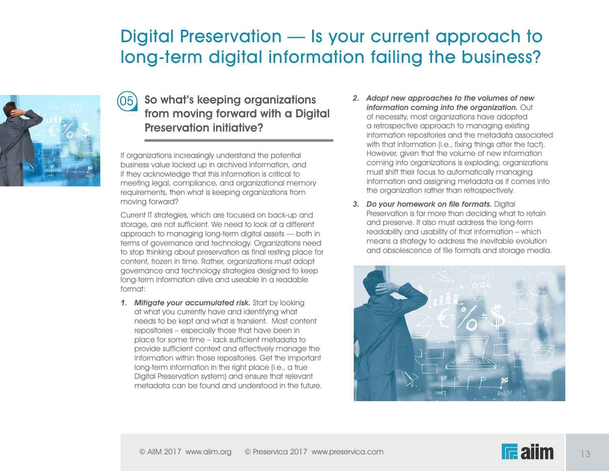

#### $(05)$  So what's keeping organizations from moving forward with a Digital Preservation initiative?

If organizations increasingly understand the potential business value locked up in archived information, and if they acknowledge that this information is critical to meeting legal, compliance, and organizational memory requirements, then what is keeping organizations from moving forward?

Current IT strategies, which are focused on back-up and storage, are not sufficient. We need to look at a different approach to managing long-term digital assets — both in terms of governance and technology. Organizations need to stop thinking about preservation as final resting place for content, frozen in time. Rather, organizations must adopt governance and technology strategies designed to keep long-term information alive and useable in a readable format:

1. Mitigate your accumulated risk. Start by looking at what you currently have and identifying what needs to be kept and what is transient. Most content repositories – especially those that have been in place for some time – lack sufficient metadata to provide sufficient context and effectively manage the information within those repositories. Get the important long-term information in the right place (i.e., a true Digital Preservation system) and ensure that relevant metadata can be found and understood in the future.

- 2. Adopt new approaches to the volumes of new information coming into the organization. Out of necessity, most organizations have adopted a retrospective approach to managing existing information repositories and the metadata associated with that information (i.e., fixing things after the fact). However, given that the volume of new information coming into organizations is exploding, organizations must shift their focus to automatically managing information and assigning metadata as it comes into the organization rather than retrospectively.
- 3. Do your homework on file formats. Digital Preservation is far more than deciding what to retain and preserve. It also must address the long-term readability and usability of that information – which means a strategy to address the inevitable evolution and obsolescence of file formats and storage media.